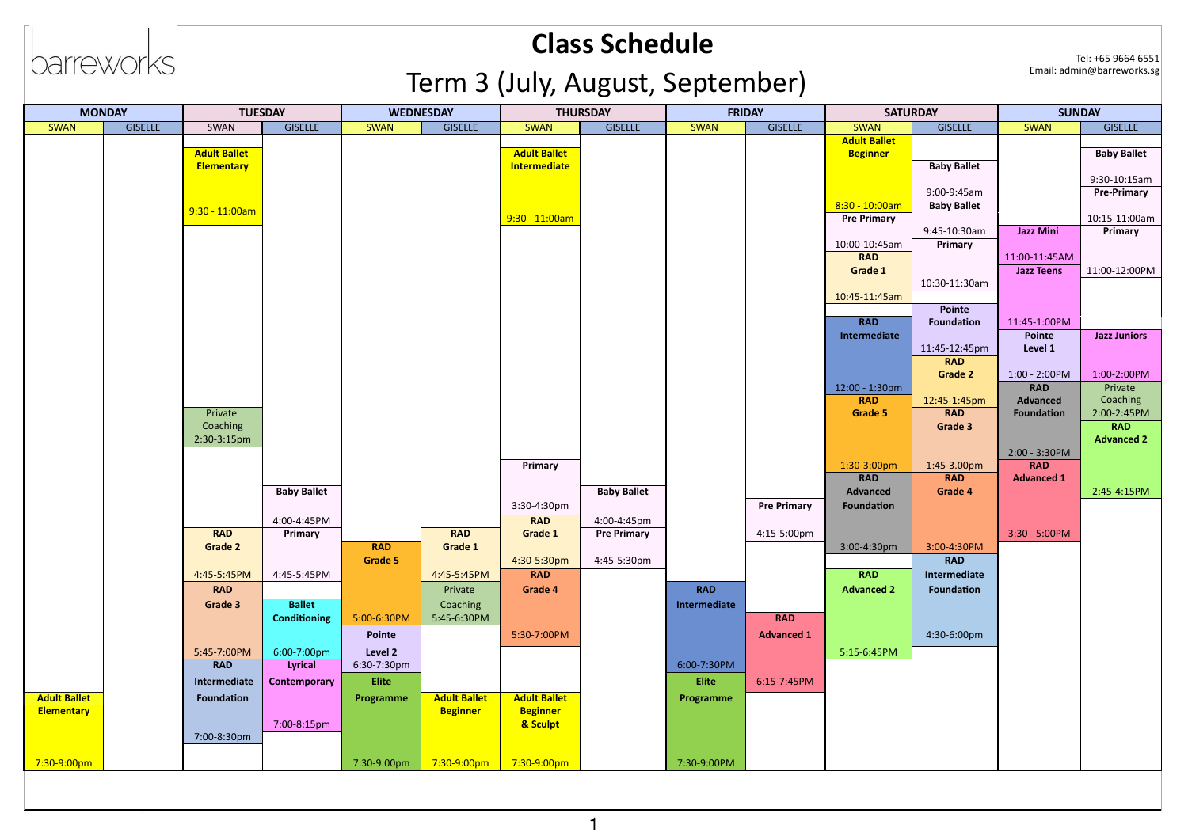# barreworks

### **Class Schedule** Term 3 (July, August, September)

| <b>MONDAY</b>       |                | <b>TUESDAY</b>      |                     | <b>WEDNESDAY</b> |                     | <b>THURSDAY</b>     |                    | <b>FRIDAY</b> |                    | <b>SATURDAY</b>     |                    | <b>SUNDAY</b>     |                                    |
|---------------------|----------------|---------------------|---------------------|------------------|---------------------|---------------------|--------------------|---------------|--------------------|---------------------|--------------------|-------------------|------------------------------------|
| <b>SWAN</b>         | <b>GISELLE</b> | SWAN                | <b>GISELLE</b>      | <b>SWAN</b>      | <b>GISELLE</b>      | <b>SWAN</b>         | <b>GISELLE</b>     | <b>SWAN</b>   | <b>GISELLE</b>     | <b>SWAN</b>         | <b>GISELLE</b>     | <b>SWAN</b>       | <b>GISELLE</b>                     |
|                     |                |                     |                     |                  |                     |                     |                    |               |                    | <b>Adult Ballet</b> |                    |                   |                                    |
|                     |                | <b>Adult Ballet</b> |                     |                  |                     | <b>Adult Ballet</b> |                    |               |                    | <b>Beginner</b>     |                    |                   | <b>Baby Ballet</b>                 |
|                     |                | <b>Elementary</b>   |                     |                  |                     | <b>Intermediate</b> |                    |               |                    |                     | <b>Baby Ballet</b> |                   |                                    |
|                     |                |                     |                     |                  |                     |                     |                    |               |                    |                     | 9:00-9:45am        |                   | 9:30-10:15am<br><b>Pre-Primary</b> |
|                     |                |                     |                     |                  |                     |                     |                    |               |                    | $8:30 - 10:00$ am   | <b>Baby Ballet</b> |                   |                                    |
|                     |                | $9:30 - 11:00$ am   |                     |                  |                     | $9:30 - 11:00$ am   |                    |               |                    | <b>Pre Primary</b>  |                    |                   | 10:15-11:00am                      |
|                     |                |                     |                     |                  |                     |                     |                    |               |                    |                     | 9:45-10:30am       | <b>Jazz Mini</b>  | Primary                            |
|                     |                |                     |                     |                  |                     |                     |                    |               |                    | 10:00-10:45am       | <b>Primary</b>     |                   |                                    |
|                     |                |                     |                     |                  |                     |                     |                    |               |                    | <b>RAD</b>          |                    | 11:00-11:45AM     |                                    |
|                     |                |                     |                     |                  |                     |                     |                    |               |                    | Grade 1             |                    | <b>Jazz Teens</b> | 11:00-12:00PM                      |
|                     |                |                     |                     |                  |                     |                     |                    |               |                    |                     | 10:30-11:30am      |                   |                                    |
|                     |                |                     |                     |                  |                     |                     |                    |               |                    | 10:45-11:45am       | Pointe             |                   |                                    |
|                     |                |                     |                     |                  |                     |                     |                    |               |                    | <b>RAD</b>          | Foundation         | 11:45-1:00PM      |                                    |
|                     |                |                     |                     |                  |                     |                     |                    |               |                    | Intermediate        |                    | Pointe            | <b>Jazz Juniors</b>                |
|                     |                |                     |                     |                  |                     |                     |                    |               |                    |                     | 11:45-12:45pm      | Level 1           |                                    |
|                     |                |                     |                     |                  |                     |                     |                    |               |                    |                     | <b>RAD</b>         |                   |                                    |
|                     |                |                     |                     |                  |                     |                     |                    |               |                    |                     | <b>Grade 2</b>     | $1:00 - 2:00$ PM  | 1:00-2:00PM                        |
|                     |                |                     |                     |                  |                     |                     |                    |               |                    | 12:00 - 1:30pm      |                    | <b>RAD</b>        | Private                            |
|                     |                |                     |                     |                  |                     |                     |                    |               |                    | <b>RAD</b>          | 12:45-1:45pm       | Advanced          | Coaching                           |
|                     |                | Private             |                     |                  |                     |                     |                    |               |                    | <b>Grade 5</b>      | <b>RAD</b>         | Foundation        | 2:00-2:45PM                        |
|                     |                | Coaching            |                     |                  |                     |                     |                    |               |                    |                     | Grade 3            |                   | <b>RAD</b>                         |
|                     |                | 2:30-3:15pm         |                     |                  |                     |                     |                    |               |                    |                     |                    | $2:00 - 3:30$ PM  | <b>Advanced 2</b>                  |
|                     |                |                     |                     |                  |                     | Primary             |                    |               |                    | 1:30-3:00pm         | 1:45-3.00pm        | <b>RAD</b>        |                                    |
|                     |                |                     |                     |                  |                     |                     |                    |               |                    | <b>RAD</b>          | <b>RAD</b>         | <b>Advanced 1</b> |                                    |
|                     |                |                     | <b>Baby Ballet</b>  |                  |                     |                     | <b>Baby Ballet</b> |               |                    | <b>Advanced</b>     | <b>Grade 4</b>     |                   | 2:45-4:15PM                        |
|                     |                |                     |                     |                  |                     | 3:30-4:30pm         |                    |               | <b>Pre Primary</b> | Foundation          |                    |                   |                                    |
|                     |                |                     | 4:00-4:45PM         |                  |                     | <b>RAD</b>          | 4:00-4:45pm        |               |                    |                     |                    |                   |                                    |
|                     |                | <b>RAD</b>          | <b>Primary</b>      |                  | <b>RAD</b>          | <b>Grade 1</b>      | <b>Pre Primary</b> |               | 4:15-5:00pm        |                     |                    | $3:30 - 5:00$ PM  |                                    |
|                     |                | <b>Grade 2</b>      |                     | <b>RAD</b>       | <b>Grade 1</b>      |                     |                    |               |                    | 3:00-4:30pm         | 3:00-4:30PM        |                   |                                    |
|                     |                |                     |                     | <b>Grade 5</b>   |                     | 4:30-5:30pm         | 4:45-5:30pm        |               |                    |                     | <b>RAD</b>         |                   |                                    |
|                     |                | 4:45-5:45PM         | 4:45-5:45PM         |                  | 4:45-5:45PM         | <b>RAD</b>          |                    |               |                    | <b>RAD</b>          | Intermediate       |                   |                                    |
|                     |                | <b>RAD</b>          |                     |                  | Private             | <b>Grade 4</b>      |                    | <b>RAD</b>    |                    | <b>Advanced 2</b>   | Foundation         |                   |                                    |
|                     |                | <b>Grade 3</b>      | <b>Ballet</b>       |                  | Coaching            |                     |                    | Intermediate  |                    |                     |                    |                   |                                    |
|                     |                |                     | <b>Conditioning</b> | 5:00-6:30PM      | 5:45-6:30PM         |                     |                    |               | <b>RAD</b>         |                     |                    |                   |                                    |
|                     |                |                     |                     | Pointe           |                     | 5:30-7:00PM         |                    |               | <b>Advanced 1</b>  |                     | 4:30-6:00pm        |                   |                                    |
|                     |                | 5:45-7:00PM         | 6:00-7:00pm         | Level 2          |                     |                     |                    |               |                    | 5:15-6:45PM         |                    |                   |                                    |
|                     |                | <b>RAD</b>          | <b>Lyrical</b>      | 6:30-7:30pm      |                     |                     |                    | 6:00-7:30PM   |                    |                     |                    |                   |                                    |
|                     |                | Intermediate        | <b>Contemporary</b> | <b>Elite</b>     |                     |                     |                    | <b>Elite</b>  | 6:15-7:45PM        |                     |                    |                   |                                    |
| <b>Adult Ballet</b> |                | Foundation          |                     | Programme        | <b>Adult Ballet</b> | <b>Adult Ballet</b> |                    | Programme     |                    |                     |                    |                   |                                    |
| <b>Elementary</b>   |                |                     |                     |                  | <b>Beginner</b>     | <b>Beginner</b>     |                    |               |                    |                     |                    |                   |                                    |
|                     |                |                     | 7:00-8:15pm         |                  |                     | & Sculpt            |                    |               |                    |                     |                    |                   |                                    |
|                     |                | 7:00-8:30pm         |                     |                  |                     |                     |                    |               |                    |                     |                    |                   |                                    |
|                     |                |                     |                     |                  |                     |                     |                    |               |                    |                     |                    |                   |                                    |
| 7:30-9:00pm         |                |                     |                     | 7:30-9:00pm      | 7:30-9:00pm         | 7:30-9:00pm         |                    | 7:30-9:00PM   |                    |                     |                    |                   |                                    |
|                     |                |                     |                     |                  |                     |                     |                    |               |                    |                     |                    |                   |                                    |

Tel: +65 9664 6551<br>Email: admin@barreworks.sg